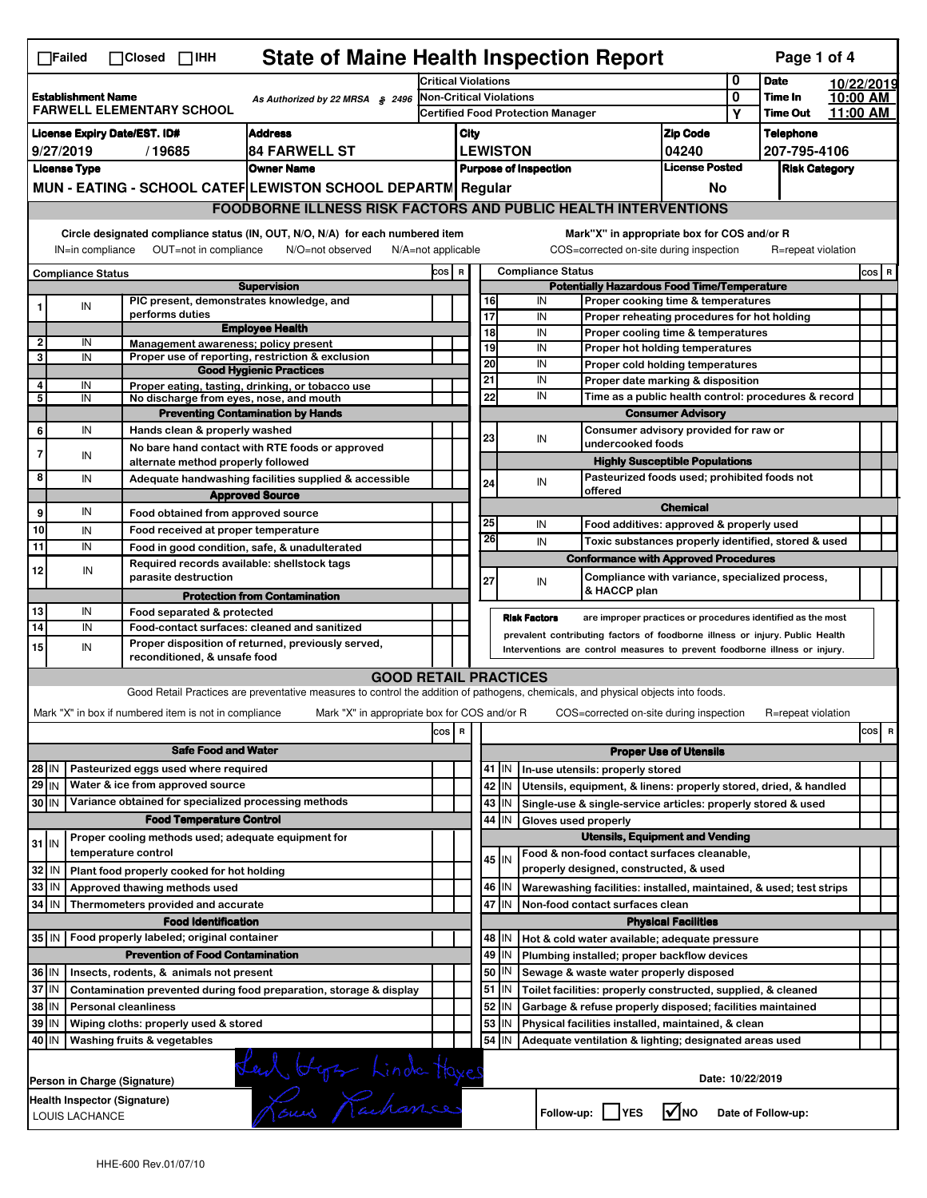|                                                                                                                                                                                                                                                                                       | <b>State of Maine Health Inspection Report</b><br>Page 1 of 4<br>$\Box$ Failed<br>$\Box$ Closed $\Box$ IHH |                                                       |                                                                                                                                                                  |                                                                                        |                                                    |                               |                                                           |                                                                              |                                                                                                                                      |                                                                                           |                    |          |            |  |  |
|---------------------------------------------------------------------------------------------------------------------------------------------------------------------------------------------------------------------------------------------------------------------------------------|------------------------------------------------------------------------------------------------------------|-------------------------------------------------------|------------------------------------------------------------------------------------------------------------------------------------------------------------------|----------------------------------------------------------------------------------------|----------------------------------------------------|-------------------------------|-----------------------------------------------------------|------------------------------------------------------------------------------|--------------------------------------------------------------------------------------------------------------------------------------|-------------------------------------------------------------------------------------------|--------------------|----------|------------|--|--|
|                                                                                                                                                                                                                                                                                       |                                                                                                            |                                                       |                                                                                                                                                                  |                                                                                        | <b>Critical Violations</b>                         |                               |                                                           |                                                                              |                                                                                                                                      |                                                                                           | <b>Date</b>        |          | 10/22/2019 |  |  |
| <b>Establishment Name</b><br>As Authorized by 22 MRSA § 2496<br><b>FARWELL ELEMENTARY SCHOOL</b>                                                                                                                                                                                      |                                                                                                            |                                                       | <b>Non-Critical Violations</b>                                                                                                                                   |                                                                                        |                                                    |                               |                                                           |                                                                              | 0                                                                                                                                    | Time In                                                                                   |                    | 10:00 AM |            |  |  |
|                                                                                                                                                                                                                                                                                       |                                                                                                            |                                                       |                                                                                                                                                                  |                                                                                        |                                                    |                               |                                                           | Certified Food Protection Manager                                            |                                                                                                                                      | Υ                                                                                         | <b>Time Out</b>    |          | 11:00 AM   |  |  |
| <b>Address</b><br><b>License Expiry Date/EST. ID#</b>                                                                                                                                                                                                                                 |                                                                                                            |                                                       |                                                                                                                                                                  |                                                                                        | City                                               |                               |                                                           |                                                                              | <b>Zip Code</b>                                                                                                                      |                                                                                           | <b>Telephone</b>   |          |            |  |  |
|                                                                                                                                                                                                                                                                                       | 9/27/2019                                                                                                  | /19685                                                | <b>84 FARWELL ST</b>                                                                                                                                             |                                                                                        |                                                    |                               | <b>LEWISTON</b>                                           |                                                                              | 04240                                                                                                                                |                                                                                           | 207-795-4106       |          |            |  |  |
|                                                                                                                                                                                                                                                                                       | <b>License Type</b>                                                                                        |                                                       | <b>Owner Name</b>                                                                                                                                                | <b>License Posted</b><br><b>Purpose of Inspection</b>                                  |                                                    |                               |                                                           |                                                                              |                                                                                                                                      | <b>Risk Category</b>                                                                      |                    |          |            |  |  |
|                                                                                                                                                                                                                                                                                       |                                                                                                            |                                                       | MUN - EATING - SCHOOL CATEF LEWISTON SCHOOL DEPARTN Regular                                                                                                      |                                                                                        |                                                    |                               |                                                           |                                                                              | No                                                                                                                                   |                                                                                           |                    |          |            |  |  |
|                                                                                                                                                                                                                                                                                       |                                                                                                            |                                                       | <b>FOODBORNE ILLNESS RISK FACTORS AND PUBLIC HEALTH INTERVENTIONS</b>                                                                                            |                                                                                        |                                                    |                               |                                                           |                                                                              |                                                                                                                                      |                                                                                           |                    |          |            |  |  |
| Circle designated compliance status (IN, OUT, N/O, N/A) for each numbered item<br>Mark"X" in appropriate box for COS and/or R<br>OUT=not in compliance<br>COS=corrected on-site during inspection<br>IN=in compliance<br>N/O=not observed<br>N/A=not applicable<br>R=repeat violation |                                                                                                            |                                                       |                                                                                                                                                                  |                                                                                        |                                                    |                               |                                                           |                                                                              |                                                                                                                                      |                                                                                           |                    |          |            |  |  |
|                                                                                                                                                                                                                                                                                       | <b>Compliance Status</b>                                                                                   |                                                       |                                                                                                                                                                  |                                                                                        |                                                    |                               |                                                           | <b>Compliance Status</b>                                                     |                                                                                                                                      |                                                                                           |                    |          | COS R      |  |  |
|                                                                                                                                                                                                                                                                                       |                                                                                                            |                                                       | <b>Supervision</b>                                                                                                                                               |                                                                                        | <b>Potentially Hazardous Food Time/Temperature</b> |                               |                                                           |                                                                              |                                                                                                                                      |                                                                                           |                    |          |            |  |  |
| 1                                                                                                                                                                                                                                                                                     | ${\sf IN}$                                                                                                 |                                                       | PIC present, demonstrates knowledge, and                                                                                                                         |                                                                                        |                                                    | 16                            |                                                           | IN                                                                           | Proper cooking time & temperatures                                                                                                   |                                                                                           |                    |          |            |  |  |
|                                                                                                                                                                                                                                                                                       |                                                                                                            | performs duties                                       | <b>Employee Health</b>                                                                                                                                           |                                                                                        |                                                    | 17<br>18                      |                                                           | IN<br>IN                                                                     | Proper reheating procedures for hot holding                                                                                          |                                                                                           |                    |          |            |  |  |
| $\overline{2}$                                                                                                                                                                                                                                                                        | IN                                                                                                         | Management awareness; policy present                  |                                                                                                                                                                  |                                                                                        |                                                    | 19                            |                                                           | IN                                                                           | Proper cooling time & temperatures<br>Proper hot holding temperatures                                                                |                                                                                           |                    |          |            |  |  |
| 3                                                                                                                                                                                                                                                                                     | IN                                                                                                         |                                                       | Proper use of reporting, restriction & exclusion                                                                                                                 |                                                                                        |                                                    | 20                            |                                                           | IN                                                                           | Proper cold holding temperatures                                                                                                     |                                                                                           |                    |          |            |  |  |
|                                                                                                                                                                                                                                                                                       |                                                                                                            |                                                       | <b>Good Hygienic Practices</b>                                                                                                                                   |                                                                                        |                                                    | 21                            |                                                           | IN                                                                           |                                                                                                                                      |                                                                                           |                    |          |            |  |  |
| 4<br>5                                                                                                                                                                                                                                                                                | IN<br>IN                                                                                                   |                                                       | Proper eating, tasting, drinking, or tobacco use                                                                                                                 |                                                                                        |                                                    | 22                            |                                                           | IN                                                                           |                                                                                                                                      | Proper date marking & disposition<br>Time as a public health control: procedures & record |                    |          |            |  |  |
|                                                                                                                                                                                                                                                                                       |                                                                                                            |                                                       | No discharge from eyes, nose, and mouth<br><b>Preventing Contamination by Hands</b>                                                                              |                                                                                        |                                                    |                               |                                                           |                                                                              |                                                                                                                                      |                                                                                           |                    |          |            |  |  |
| 6                                                                                                                                                                                                                                                                                     | IN                                                                                                         | Hands clean & properly washed                         |                                                                                                                                                                  |                                                                                        |                                                    |                               |                                                           |                                                                              | <b>Consumer Advisory</b><br>Consumer advisory provided for raw or                                                                    |                                                                                           |                    |          |            |  |  |
|                                                                                                                                                                                                                                                                                       |                                                                                                            |                                                       | No bare hand contact with RTE foods or approved                                                                                                                  |                                                                                        |                                                    | 23                            |                                                           | IN<br>undercooked foods                                                      |                                                                                                                                      |                                                                                           |                    |          |            |  |  |
| $\overline{7}$                                                                                                                                                                                                                                                                        | IN                                                                                                         | alternate method properly followed                    |                                                                                                                                                                  |                                                                                        |                                                    |                               |                                                           |                                                                              | <b>Highly Susceptible Populations</b>                                                                                                |                                                                                           |                    |          |            |  |  |
| 8                                                                                                                                                                                                                                                                                     | IN                                                                                                         |                                                       | Adequate handwashing facilities supplied & accessible                                                                                                            |                                                                                        |                                                    |                               |                                                           |                                                                              | Pasteurized foods used; prohibited foods not                                                                                         |                                                                                           |                    |          |            |  |  |
|                                                                                                                                                                                                                                                                                       |                                                                                                            |                                                       | <b>Approved Source</b>                                                                                                                                           |                                                                                        |                                                    | 24                            |                                                           | IN<br>offered                                                                |                                                                                                                                      |                                                                                           |                    |          |            |  |  |
| 9                                                                                                                                                                                                                                                                                     | IN                                                                                                         |                                                       |                                                                                                                                                                  |                                                                                        |                                                    |                               |                                                           |                                                                              | <b>Chemical</b>                                                                                                                      |                                                                                           |                    |          |            |  |  |
|                                                                                                                                                                                                                                                                                       |                                                                                                            | Food obtained from approved source                    |                                                                                                                                                                  |                                                                                        |                                                    | 25                            |                                                           | IN                                                                           | Food additives: approved & properly used                                                                                             |                                                                                           |                    |          |            |  |  |
| 10                                                                                                                                                                                                                                                                                    | IN                                                                                                         | Food received at proper temperature                   |                                                                                                                                                                  |                                                                                        |                                                    | 26                            |                                                           | IN                                                                           | Toxic substances properly identified, stored & used                                                                                  |                                                                                           |                    |          |            |  |  |
| 11                                                                                                                                                                                                                                                                                    | IN                                                                                                         |                                                       | Food in good condition, safe, & unadulterated                                                                                                                    |                                                                                        |                                                    |                               |                                                           | <b>Conformance with Approved Procedures</b>                                  |                                                                                                                                      |                                                                                           |                    |          |            |  |  |
| 12                                                                                                                                                                                                                                                                                    | IN                                                                                                         |                                                       | Required records available: shellstock tags                                                                                                                      |                                                                                        |                                                    |                               |                                                           |                                                                              |                                                                                                                                      |                                                                                           |                    |          |            |  |  |
|                                                                                                                                                                                                                                                                                       |                                                                                                            | parasite destruction                                  |                                                                                                                                                                  |                                                                                        |                                                    | 27                            |                                                           | IN<br>& HACCP plan                                                           | Compliance with variance, specialized process,                                                                                       |                                                                                           |                    |          |            |  |  |
|                                                                                                                                                                                                                                                                                       |                                                                                                            |                                                       | <b>Protection from Contamination</b>                                                                                                                             |                                                                                        |                                                    |                               |                                                           |                                                                              |                                                                                                                                      |                                                                                           |                    |          |            |  |  |
| 13                                                                                                                                                                                                                                                                                    | IN                                                                                                         | Food separated & protected                            |                                                                                                                                                                  |                                                                                        |                                                    |                               |                                                           | <b>Risk Factors</b>                                                          | are improper practices or procedures identified as the most                                                                          |                                                                                           |                    |          |            |  |  |
| 14                                                                                                                                                                                                                                                                                    | IN                                                                                                         |                                                       | Food-contact surfaces: cleaned and sanitized                                                                                                                     |                                                                                        |                                                    |                               |                                                           | prevalent contributing factors of foodborne illness or injury. Public Health |                                                                                                                                      |                                                                                           |                    |          |            |  |  |
| 15                                                                                                                                                                                                                                                                                    | IN                                                                                                         |                                                       | Proper disposition of returned, previously served,<br>Interventions are control measures to prevent foodborne illness or injury.<br>reconditioned, & unsafe food |                                                                                        |                                                    |                               |                                                           |                                                                              |                                                                                                                                      |                                                                                           |                    |          |            |  |  |
|                                                                                                                                                                                                                                                                                       |                                                                                                            |                                                       | <b>GOOD RETAIL PRACTICES</b>                                                                                                                                     |                                                                                        |                                                    |                               |                                                           |                                                                              |                                                                                                                                      |                                                                                           |                    |          |            |  |  |
|                                                                                                                                                                                                                                                                                       |                                                                                                            |                                                       | Good Retail Practices are preventative measures to control the addition of pathogens, chemicals, and physical objects into foods.                                |                                                                                        |                                                    |                               |                                                           |                                                                              |                                                                                                                                      |                                                                                           |                    |          |            |  |  |
|                                                                                                                                                                                                                                                                                       |                                                                                                            |                                                       |                                                                                                                                                                  |                                                                                        |                                                    |                               |                                                           |                                                                              |                                                                                                                                      |                                                                                           |                    |          |            |  |  |
|                                                                                                                                                                                                                                                                                       |                                                                                                            | Mark "X" in box if numbered item is not in compliance | Mark "X" in appropriate box for COS and/or R                                                                                                                     |                                                                                        |                                                    |                               |                                                           | COS=corrected on-site during inspection                                      |                                                                                                                                      |                                                                                           | R=repeat violation |          |            |  |  |
|                                                                                                                                                                                                                                                                                       |                                                                                                            |                                                       |                                                                                                                                                                  | cos                                                                                    | $\overline{\mathbf{R}}$                            |                               |                                                           |                                                                              |                                                                                                                                      |                                                                                           |                    |          | cos<br>R   |  |  |
|                                                                                                                                                                                                                                                                                       |                                                                                                            | <b>Safe Food and Water</b>                            |                                                                                                                                                                  |                                                                                        |                                                    | <b>Proper Use of Utensils</b> |                                                           |                                                                              |                                                                                                                                      |                                                                                           |                    |          |            |  |  |
| 28 IN                                                                                                                                                                                                                                                                                 |                                                                                                            | Pasteurized eggs used where required                  |                                                                                                                                                                  |                                                                                        |                                                    |                               | 41 J IN                                                   | In-use utensils: properly stored                                             |                                                                                                                                      |                                                                                           |                    |          |            |  |  |
| $29$ IN                                                                                                                                                                                                                                                                               |                                                                                                            | Water & ice from approved source                      |                                                                                                                                                                  |                                                                                        |                                                    |                               | 42 IN                                                     | Utensils, equipment, & linens: properly stored, dried, & handled             |                                                                                                                                      |                                                                                           |                    |          |            |  |  |
| 30 IN                                                                                                                                                                                                                                                                                 |                                                                                                            | Variance obtained for specialized processing methods  |                                                                                                                                                                  |                                                                                        |                                                    |                               | $43$   IN                                                 | Single-use & single-service articles: properly stored & used                 |                                                                                                                                      |                                                                                           |                    |          |            |  |  |
|                                                                                                                                                                                                                                                                                       |                                                                                                            | <b>Food Temperature Control</b>                       |                                                                                                                                                                  |                                                                                        |                                                    | 44                            | IN                                                        | Gloves used properly                                                         |                                                                                                                                      |                                                                                           |                    |          |            |  |  |
|                                                                                                                                                                                                                                                                                       |                                                                                                            | Proper cooling methods used; adequate equipment for   |                                                                                                                                                                  |                                                                                        |                                                    |                               |                                                           |                                                                              | <b>Utensils, Equipment and Vending</b>                                                                                               |                                                                                           |                    |          |            |  |  |
| $31$ IN                                                                                                                                                                                                                                                                               |                                                                                                            | temperature control                                   |                                                                                                                                                                  |                                                                                        |                                                    |                               |                                                           | Food & non-food contact surfaces cleanable,                                  |                                                                                                                                      |                                                                                           |                    |          |            |  |  |
| 32                                                                                                                                                                                                                                                                                    | IN                                                                                                         | Plant food properly cooked for hot holding            |                                                                                                                                                                  |                                                                                        |                                                    |                               | $45$ IN                                                   | properly designed, constructed, & used                                       |                                                                                                                                      |                                                                                           |                    |          |            |  |  |
| 33                                                                                                                                                                                                                                                                                    | IN                                                                                                         | Approved thawing methods used                         |                                                                                                                                                                  |                                                                                        |                                                    |                               | 46 IN                                                     | Warewashing facilities: installed, maintained, & used; test strips           |                                                                                                                                      |                                                                                           |                    |          |            |  |  |
| 34                                                                                                                                                                                                                                                                                    | l IN                                                                                                       | Thermometers provided and accurate                    |                                                                                                                                                                  |                                                                                        |                                                    |                               | 47 I IN                                                   | Non-food contact surfaces clean                                              |                                                                                                                                      |                                                                                           |                    |          |            |  |  |
|                                                                                                                                                                                                                                                                                       |                                                                                                            | <b>Food Identification</b>                            |                                                                                                                                                                  |                                                                                        |                                                    |                               |                                                           |                                                                              |                                                                                                                                      |                                                                                           |                    |          |            |  |  |
|                                                                                                                                                                                                                                                                                       |                                                                                                            |                                                       |                                                                                                                                                                  | <b>Physical Facilities</b><br>48   IN<br>Hot & cold water available; adequate pressure |                                                    |                               |                                                           |                                                                              |                                                                                                                                      |                                                                                           |                    |          |            |  |  |
| 35 IN   Food properly labeled; original container                                                                                                                                                                                                                                     |                                                                                                            |                                                       |                                                                                                                                                                  |                                                                                        | 49                                                 | IN                            |                                                           |                                                                              |                                                                                                                                      |                                                                                           |                    |          |            |  |  |
| <b>Prevention of Food Contamination</b>                                                                                                                                                                                                                                               |                                                                                                            |                                                       |                                                                                                                                                                  |                                                                                        | 50                                                 | IN                            | Plumbing installed; proper backflow devices               |                                                                              |                                                                                                                                      |                                                                                           |                    |          |            |  |  |
| 36 IN<br>Insects, rodents, & animals not present                                                                                                                                                                                                                                      |                                                                                                            |                                                       |                                                                                                                                                                  |                                                                                        |                                                    |                               |                                                           | Sewage & waste water properly disposed                                       |                                                                                                                                      |                                                                                           |                    |          |            |  |  |
| 37 IN<br>Contamination prevented during food preparation, storage & display                                                                                                                                                                                                           |                                                                                                            |                                                       |                                                                                                                                                                  |                                                                                        |                                                    |                               | $51$ $\vert$ IN                                           | Toilet facilities: properly constructed, supplied, & cleaned                 |                                                                                                                                      |                                                                                           |                    |          |            |  |  |
| 38<br>ΙM<br><b>Personal cleanliness</b>                                                                                                                                                                                                                                               |                                                                                                            |                                                       |                                                                                                                                                                  |                                                                                        | 52                                                 | IN                            | Garbage & refuse properly disposed; facilities maintained |                                                                              |                                                                                                                                      |                                                                                           |                    |          |            |  |  |
| 39                                                                                                                                                                                                                                                                                    | ΙM                                                                                                         | Wiping cloths: properly used & stored                 |                                                                                                                                                                  |                                                                                        |                                                    | 53                            | IN                                                        | Physical facilities installed, maintained, & clean                           |                                                                                                                                      |                                                                                           |                    |          |            |  |  |
| 40 IN                                                                                                                                                                                                                                                                                 |                                                                                                            | Washing fruits & vegetables                           |                                                                                                                                                                  |                                                                                        |                                                    | 54                            | l IN                                                      | Adequate ventilation & lighting; designated areas used                       |                                                                                                                                      |                                                                                           |                    |          |            |  |  |
|                                                                                                                                                                                                                                                                                       |                                                                                                            | Person in Charge (Signature)                          |                                                                                                                                                                  |                                                                                        |                                                    |                               |                                                           |                                                                              |                                                                                                                                      |                                                                                           | Date: 10/22/2019   |          |            |  |  |
|                                                                                                                                                                                                                                                                                       |                                                                                                            |                                                       |                                                                                                                                                                  |                                                                                        |                                                    |                               |                                                           |                                                                              | Leur Gyer Linde Hores<br>Health Inspector (Signature)<br>$\sqrt{ }$ NO<br>Follow-up:     YES<br>Date of Follow-up:<br>LOUIS LACHANCE |                                                                                           |                    |          |            |  |  |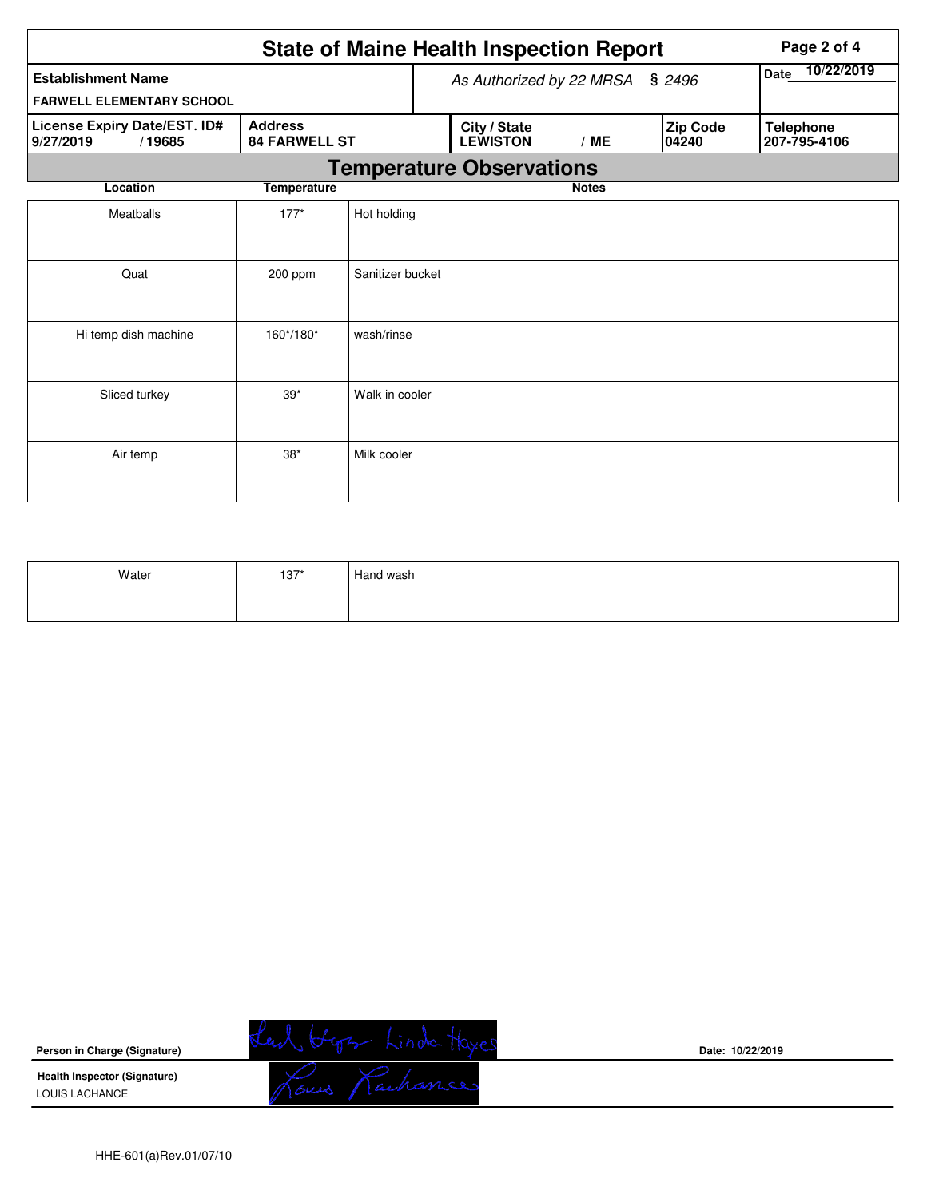|                                                               |                                        |                          | <b>State of Maine Health Inspection Report</b> | Page 2 of 4  |                   |                                  |  |  |  |  |  |
|---------------------------------------------------------------|----------------------------------------|--------------------------|------------------------------------------------|--------------|-------------------|----------------------------------|--|--|--|--|--|
| <b>Establishment Name</b><br><b>FARWELL ELEMENTARY SCHOOL</b> |                                        | As Authorized by 22 MRSA | 10/22/2019<br><b>Date</b>                      |              |                   |                                  |  |  |  |  |  |
| License Expiry Date/EST. ID#<br>9/27/2019<br>/19685           | <b>Address</b><br><b>84 FARWELL ST</b> |                          | City / State<br><b>LEWISTON</b>                | /ME          | Zip Code<br>04240 | <b>Telephone</b><br>207-795-4106 |  |  |  |  |  |
| <b>Temperature Observations</b>                               |                                        |                          |                                                |              |                   |                                  |  |  |  |  |  |
| Location                                                      | <b>Temperature</b>                     |                          |                                                | <b>Notes</b> |                   |                                  |  |  |  |  |  |
| Meatballs                                                     | $177*$                                 | Hot holding              |                                                |              |                   |                                  |  |  |  |  |  |
| Quat                                                          | 200 ppm                                | Sanitizer bucket         |                                                |              |                   |                                  |  |  |  |  |  |
| Hi temp dish machine                                          | 160*/180*                              | wash/rinse               |                                                |              |                   |                                  |  |  |  |  |  |
| Sliced turkey                                                 | $39*$                                  | Walk in cooler           |                                                |              |                   |                                  |  |  |  |  |  |
| Air temp                                                      | $38*$                                  | Milk cooler              |                                                |              |                   |                                  |  |  |  |  |  |

| Water | $137*$ | Hand wash |
|-------|--------|-----------|
|       |        |           |



**Date: 10/22/2019**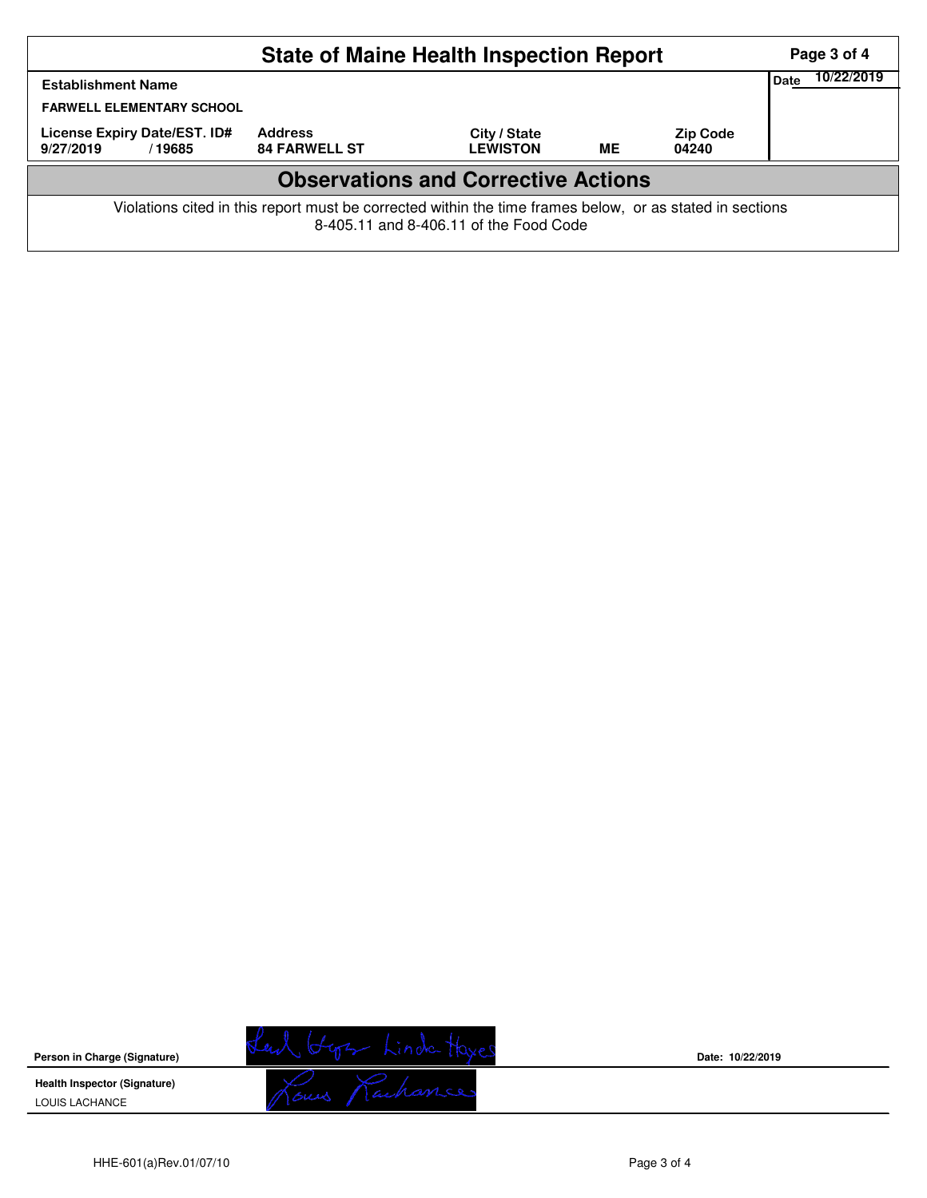|                                                                                                                                                    |                                        | Page 3 of 4                     |    |                          |  |  |  |  |  |
|----------------------------------------------------------------------------------------------------------------------------------------------------|----------------------------------------|---------------------------------|----|--------------------------|--|--|--|--|--|
| <b>Establishment Name</b><br><b>FARWELL ELEMENTARY SCHOOL</b>                                                                                      | <b>Date</b>                            | 10/22/2019                      |    |                          |  |  |  |  |  |
| License Expiry Date/EST. ID#<br>9/27/2019<br>/19685                                                                                                | <b>Address</b><br><b>84 FARWELL ST</b> | City / State<br><b>LEWISTON</b> | ME | <b>Zip Code</b><br>04240 |  |  |  |  |  |
| <b>Observations and Corrective Actions</b>                                                                                                         |                                        |                                 |    |                          |  |  |  |  |  |
| Violations cited in this report must be corrected within the time frames below, or as stated in sections<br>8-405.11 and 8-406.11 of the Food Code |                                        |                                 |    |                          |  |  |  |  |  |

Lead Hyr Linda Hyes<br>Nous Nachances **Person in Charge (Signature) Health Inspector (Signature)**  LOUIS LACHANCE

**Date: 10/22/2019**